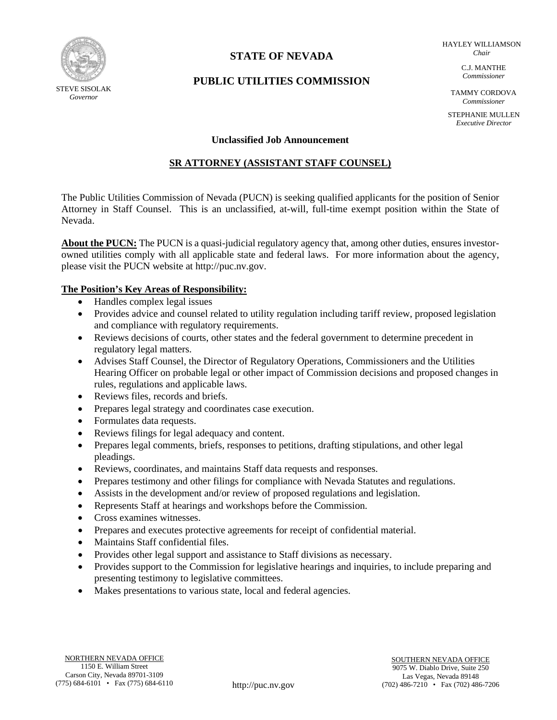

# **STATE OF NEVADA**

HAYLEY WILLIAMSON *Chair*

# **PUBLIC UTILITIES COMMISSION**

C.J. MANTHE *Commissioner*

TAMMY CORDOVA *Commissioner*

STEPHANIE MULLEN *Executive Director*

#### **Unclassified Job Announcement**

## **SR ATTORNEY (ASSISTANT STAFF COUNSEL)**

The Public Utilities Commission of Nevada (PUCN) is seeking qualified applicants for the position of Senior Attorney in Staff Counsel. This is an unclassified, at-will, full-time exempt position within the State of Nevada.

**About the PUCN:** The PUCN is a quasi-judicial regulatory agency that, among other duties, ensures investorowned utilities comply with all applicable state and federal laws. For more information about the agency, please visit the PUCN website at http://puc.nv.gov.

### **The Position's Key Areas of Responsibility:**

- Handles complex legal issues
- Provides advice and counsel related to utility regulation including tariff review, proposed legislation and compliance with regulatory requirements.
- Reviews decisions of courts, other states and the federal government to determine precedent in regulatory legal matters.
- Advises Staff Counsel, the Director of Regulatory Operations, Commissioners and the Utilities Hearing Officer on probable legal or other impact of Commission decisions and proposed changes in rules, regulations and applicable laws.
- Reviews files, records and briefs.
- Prepares legal strategy and coordinates case execution.
- Formulates data requests.
- Reviews filings for legal adequacy and content.
- Prepares legal comments, briefs, responses to petitions, drafting stipulations, and other legal pleadings.
- Reviews, coordinates, and maintains Staff data requests and responses.
- Prepares testimony and other filings for compliance with Nevada Statutes and regulations.
- Assists in the development and/or review of proposed regulations and legislation.
- Represents Staff at hearings and workshops before the Commission.
- Cross examines witnesses.
- Prepares and executes protective agreements for receipt of confidential material.
- Maintains Staff confidential files.
- Provides other legal support and assistance to Staff divisions as necessary.
- Provides support to the Commission for legislative hearings and inquiries, to include preparing and presenting testimony to legislative committees.
- Makes presentations to various state, local and federal agencies.